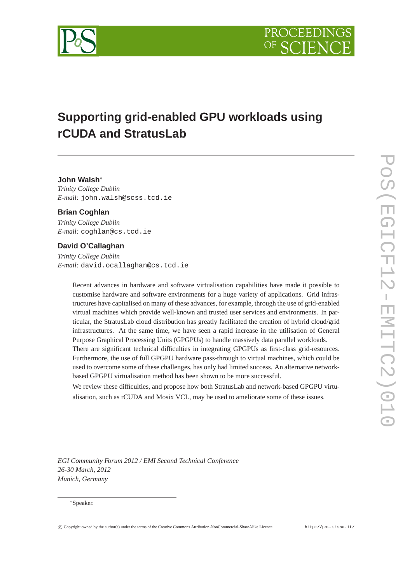

# **Supporting grid-enabled GPU workloads using rCUDA and StratusLab**

# **John Walsh**<sup>∗</sup>

*Trinity College Dublin E-mail:* john.walsh@scss.tcd.ie

# **Brian Coghlan**

*Trinity College Dublin E-mail:* coghlan@cs.tcd.ie

# **David O'Callaghan**

*Trinity College Dublin E-mail:* david.ocallaghan@cs.tcd.ie

> Recent advances in hardware and software virtualisation capabilities have made it possible to customise hardware and software environments for a huge variety of applications. Grid infrastructures have capitalised on many of these advances, for example, through the use of grid-enabled virtual machines which provide well-known and trusted user services and environments. In particular, the StratusLab cloud distribution has greatly facilitated the creation of hybrid cloud/grid infrastructures. At the same time, we have seen a rapid increase in the utilisation of General Purpose Graphical Processing Units (GPGPUs) to handle massively data parallel workloads.

> There are significant technical difficulties in integrating GPGPUs as first-class grid-resources. Furthermore, the use of full GPGPU hardware pass-through to virtual machines, which could be used to overcome some of these challenges, has only had limited success. An alternative networkbased GPGPU virtualisation method has been shown to be more successful.

> We review these difficulties, and propose how both StratusLab and network-based GPGPU virtualisation, such as rCUDA and Mosix VCL, may be used to ameliorate some of these issues.

*EGI Community Forum 2012 / EMI Second Technical Conference 26-30 March, 2012 Munich, Germany*

#### <sup>∗</sup>Speaker.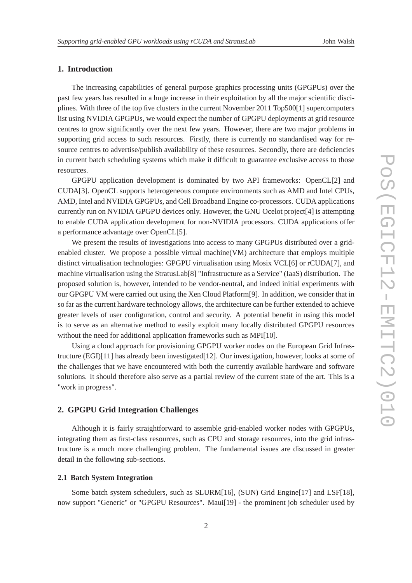# **1. Introduction**

The increasing capabilities of general purpose graphics processing units (GPGPUs) over the past few years has resulted in a huge increase in their exploitation by all the major scientific disciplines. With three of the top five clusters in the current November 2011 Top500[1] supercomputers list using NVIDIA GPGPUs, we would expect the number of GPGPU deployments at grid resource centres to grow significantly over the next few years. However, there are two major problems in supporting grid access to such resources. Firstly, there is currently no standardised way for resource centres to advertise/publish availability of these resources. Secondly, there are deficiencies in current batch scheduling systems which make it difficult to guarantee exclusive access to those resources.

GPGPU application development is dominated by two API frameworks: OpenCL[2] and CUDA[3]. OpenCL supports heterogeneous compute environments such as AMD and Intel CPUs, AMD, Intel and NVIDIA GPGPUs, and Cell Broadband Engine co-processors. CUDA applications currently run on NVIDIA GPGPU devices only. However, the GNU Ocelot project[4] is attempting to enable CUDA application development for non-NVIDIA processors. CUDA applications offer a performance advantage over OpenCL[5].

We present the results of investigations into access to many GPGPUs distributed over a gridenabled cluster. We propose a possible virtual machine(VM) architecture that employs multiple distinct virtualisation technologies: GPGPU virtualisation using Mosix VCL[6] or rCUDA[7], and machine virtualisation using the StratusLab[8] "Infrastructure as a Service" (IaaS) distribution. The proposed solution is, however, intended to be vendor-neutral, and indeed initial experiments with our GPGPU VM were carried out using the Xen Cloud Platform[9]. In addition, we consider that in so far as the current hardware technology allows, the architecture can be further extended to achieve greater levels of user configuration, control and security. A potential benefit in using this model is to serve as an alternative method to easily exploit many locally distributed GPGPU resources without the need for additional application frameworks such as MPI[10].

Using a cloud approach for provisioning GPGPU worker nodes on the European Grid Infrastructure (EGI)[11] has already been investigated[12]. Our investigation, however, looks at some of the challenges that we have encountered with both the currently available hardware and software solutions. It should therefore also serve as a partial review of the current state of the art. This is a "work in progress".

### **2. GPGPU Grid Integration Challenges**

Although it is fairly straightforward to assemble grid-enabled worker nodes with GPGPUs, integrating them as first-class resources, such as CPU and storage resources, into the grid infrastructure is a much more challenging problem. The fundamental issues are discussed in greater detail in the following sub-sections.

#### **2.1 Batch System Integration**

Some batch system schedulers, such as SLURM[16], (SUN) Grid Engine[17] and LSF[18], now support "Generic" or "GPGPU Resources". Maui[19] - the prominent job scheduler used by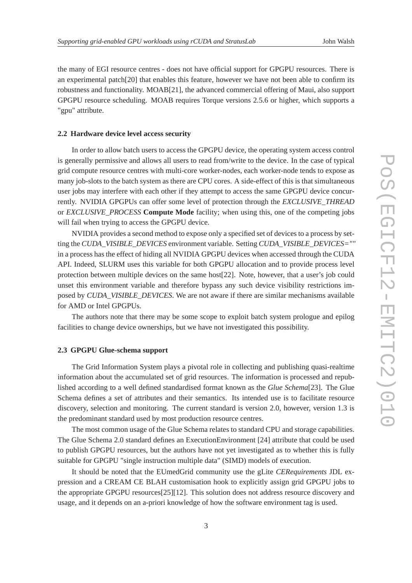the many of EGI resource centres - does not have official support for GPGPU resources. There is an experimental patch[20] that enables this feature, however we have not been able to confirm its robustness and functionality. MOAB[21], the advanced commercial offering of Maui, also support GPGPU resource scheduling. MOAB requires Torque versions 2.5.6 or higher, which supports a "gpu" attribute.

#### **2.2 Hardware device level access security**

In order to allow batch users to access the GPGPU device, the operating system access control is generally permissive and allows all users to read from/write to the device. In the case of typical grid compute resource centres with multi-core worker-nodes, each worker-node tends to expose as many job-slots to the batch system as there are CPU cores. A side-effect of this is that simultaneous user jobs may interfere with each other if they attempt to access the same GPGPU device concurrently. NVIDIA GPGPUs can offer some level of protection through the *EXCLUSIVE\_THREAD* or *EXCLUSIVE\_PROCESS* **Compute Mode** facility; when using this, one of the competing jobs will fail when trying to access the GPGPU device.

NVIDIA provides a second method to expose only a specified set of devices to a process by setting the *CUDA\_VISIBLE\_DEVICES* environment variable. Setting *CUDA\_VISIBLE\_DEVICES=""* in a process has the effect of hiding all NVIDIA GPGPU devices when accessed through the CUDA API. Indeed, SLURM uses this variable for both GPGPU allocation and to provide process level protection between multiple devices on the same host[22]. Note, however, that a user's job could unset this environment variable and therefore bypass any such device visibility restrictions imposed by *CUDA\_VISIBLE\_DEVICES*. We are not aware if there are similar mechanisms available for AMD or Intel GPGPUs.

The authors note that there may be some scope to exploit batch system prologue and epilog facilities to change device ownerships, but we have not investigated this possibility.

#### **2.3 GPGPU Glue-schema support**

The Grid Information System plays a pivotal role in collecting and publishing quasi-realtime information about the accumulated set of grid resources. The information is processed and republished according to a well defined standardised format known as the *Glue Schema*[23]. The Glue Schema defines a set of attributes and their semantics. Its intended use is to facilitate resource discovery, selection and monitoring. The current standard is version 2.0, however, version 1.3 is the predominant standard used by most production resource centres.

The most common usage of the Glue Schema relates to standard CPU and storage capabilities. The Glue Schema 2.0 standard defines an ExecutionEnvironment [24] attribute that could be used to publish GPGPU resources, but the authors have not yet investigated as to whether this is fully suitable for GPGPU "single instruction multiple data" (SIMD) models of execution.

It should be noted that the EUmedGrid community use the gLite *CERequirements* JDL expression and a CREAM CE BLAH customisation hook to explicitly assign grid GPGPU jobs to the appropriate GPGPU resources[25][12]. This solution does not address resource discovery and usage, and it depends on an a-priori knowledge of how the software environment tag is used.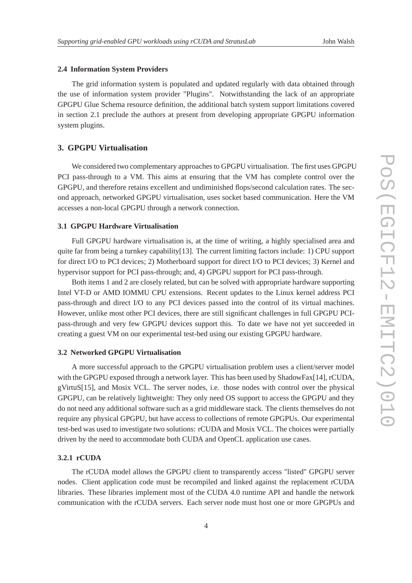#### **2.4 Information System Providers**

The grid information system is populated and updated regularly with data obtained through the use of information system provider "Plugins". Notwithstanding the lack of an appropriate GPGPU Glue Schema resource definition, the additional batch system support limitations covered in section 2.1 preclude the authors at present from developing appropriate GPGPU information system plugins.

# **3. GPGPU Virtualisation**

We considered two complementary approaches to GPGPU virtualisation. The first uses GPGPU PCI pass-through to a VM. This aims at ensuring that the VM has complete control over the GPGPU, and therefore retains excellent and undiminished flops/second calculation rates. The second approach, networked GPGPU virtualisation, uses socket based communication. Here the VM accesses a non-local GPGPU through a network connection.

# **3.1 GPGPU Hardware Virtualisation**

Full GPGPU hardware virtualisation is, at the time of writing, a highly specialised area and quite far from being a turnkey capability[13]. The current limiting factors include: 1) CPU support for direct I/O to PCI devices; 2) Motherboard support for direct I/O to PCI devices; 3) Kernel and hypervisor support for PCI pass-through; and, 4) GPGPU support for PCI pass-through.

Both items 1 and 2 are closely related, but can be solved with appropriate hardware supporting Intel VT-D or AMD IOMMU CPU extensions. Recent updates to the Linux kernel address PCI pass-through and direct I/O to any PCI devices passed into the control of its virtual machines. However, unlike most other PCI devices, there are still significant challenges in full GPGPU PCIpass-through and very few GPGPU devices support this. To date we have not yet succeeded in creating a guest VM on our experimental test-bed using our existing GPGPU hardware.

# **3.2 Networked GPGPU Virtualisation**

A more successful approach to the GPGPU virtualisation problem uses a client/server model with the GPGPU exposed through a network layer. This has been used by ShadowFax[14], rCUDA, gVirtuS[15], and Mosix VCL. The server nodes, i.e. those nodes with control over the physical GPGPU, can be relatively lightweight: They only need OS support to access the GPGPU and they do not need any additional software such as a grid middleware stack. The clients themselves do not require any physical GPGPU, but have access to collections of remote GPGPUs. Our experimental test-bed was used to investigate two solutions: rCUDA and Mosix VCL. The choices were partially driven by the need to accommodate both CUDA and OpenCL application use cases.

### **3.2.1 rCUDA**

The rCUDA model allows the GPGPU client to transparently access "listed" GPGPU server nodes. Client application code must be recompiled and linked against the replacement rCUDA libraries. These libraries implement most of the CUDA 4.0 runtime API and handle the network communication with the rCUDA servers. Each server node must host one or more GPGPUs and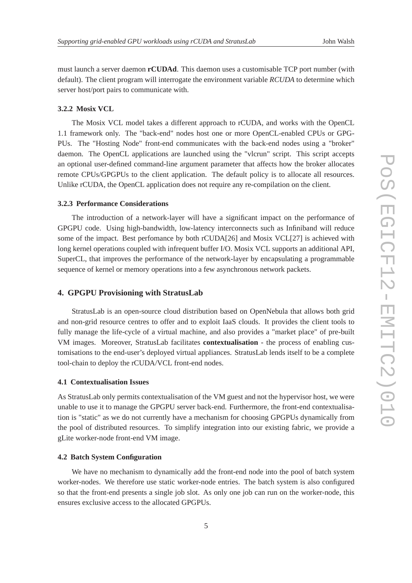must launch a server daemon **rCUDAd**. This daemon uses a customisable TCP port number (with default). The client program will interrogate the environment variable *RCUDA* to determine which server host/port pairs to communicate with.

#### **3.2.2 Mosix VCL**

The Mosix VCL model takes a different approach to rCUDA, and works with the OpenCL 1.1 framework only. The "back-end" nodes host one or more OpenCL-enabled CPUs or GPG-PUs. The "Hosting Node" front-end communicates with the back-end nodes using a "broker" daemon. The OpenCL applications are launched using the "vlcrun" script. This script accepts an optional user-defined command-line argument parameter that affects how the broker allocates remote CPUs/GPGPUs to the client application. The default policy is to allocate all resources. Unlike rCUDA, the OpenCL application does not require any re-compilation on the client.

#### **3.2.3 Performance Considerations**

The introduction of a network-layer will have a significant impact on the performance of GPGPU code. Using high-bandwidth, low-latency interconnects such as Infiniband will reduce some of the impact. Best perfomance by both rCUDA[26] and Mosix VCL[27] is achieved with long kernel operations coupled with infrequent buffer I/O. Mosix VCL supports an additional API, SuperCL, that improves the performance of the network-layer by encapsulating a programmable sequence of kernel or memory operations into a few asynchronous network packets.

# **4. GPGPU Provisioning with StratusLab**

StratusLab is an open-source cloud distribution based on OpenNebula that allows both grid and non-grid resource centres to offer and to exploit IaaS clouds. It provides the client tools to fully manage the life-cycle of a virtual machine, and also provides a "market place" of pre-built VM images. Moreover, StratusLab facilitates **contextualisation** - the process of enabling customisations to the end-user's deployed virtual appliances. StratusLab lends itself to be a complete tool-chain to deploy the rCUDA/VCL front-end nodes.

#### **4.1 Contextualisation Issues**

As StratusLab only permits contextualisation of the VM guest and not the hypervisor host, we were unable to use it to manage the GPGPU server back-end. Furthermore, the front-end contextualisation is "static" as we do not currently have a mechanism for choosing GPGPUs dynamically from the pool of distributed resources. To simplify integration into our existing fabric, we provide a gLite worker-node front-end VM image.

#### **4.2 Batch System Configuration**

We have no mechanism to dynamically add the front-end node into the pool of batch system worker-nodes. We therefore use static worker-node entries. The batch system is also configured so that the front-end presents a single job slot. As only one job can run on the worker-node, this ensures exclusive access to the allocated GPGPUs.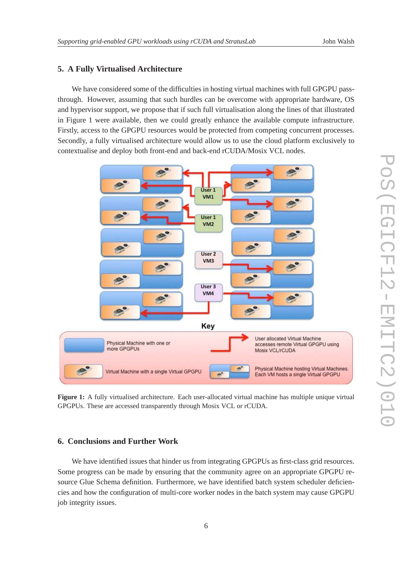# **5. A Fully Virtualised Architecture**

We have considered some of the difficulties in hosting virtual machines with full GPGPU passthrough. However, assuming that such hurdles can be overcome with appropriate hardware, OS and hypervisor support, we propose that if such full virtualisation along the lines of that illustrated in Figure 1 were available, then we could greatly enhance the available compute infrastructure. Firstly, access to the GPGPU resources would be protected from competing concurrent processes. Secondly, a fully virtualised architecture would allow us to use the cloud platform exclusively to contextualise and deploy both front-end and back-end rCUDA/Mosix VCL nodes.



**Figure 1:** A fully virtualised architecture. Each user-allocated virtual machine has multiple unique virtual GPGPUs. These are accessed transparently through Mosix VCL or rCUDA.

# **6. Conclusions and Further Work**

We have identified issues that hinder us from integrating GPGPUs as first-class grid resources. Some progress can be made by ensuring that the community agree on an appropriate GPGPU resource Glue Schema definition. Furthermore, we have identified batch system scheduler deficiencies and how the configuration of multi-core worker nodes in the batch system may cause GPGPU job integrity issues.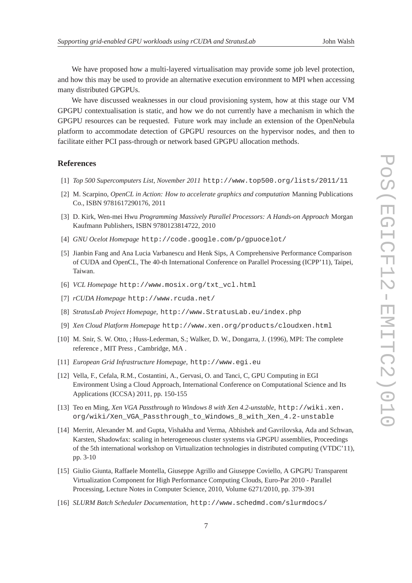We have proposed how a multi-layered virtualisation may provide some job level protection, and how this may be used to provide an alternative execution environment to MPI when accessing many distributed GPGPUs.

We have discussed weaknesses in our cloud provisioning system, how at this stage our VM GPGPU contextualisation is static, and how we do not currently have a mechanism in which the GPGPU resources can be requested. Future work may include an extension of the OpenNebula platform to accommodate detection of GPGPU resources on the hypervisor nodes, and then to facilitate either PCI pass-through or network based GPGPU allocation methods.

# **References**

- [1] *Top 500 Supercomputers List, November 2011* http://www.top500.org/lists/2011/11
- [2] M. Scarpino, *OpenCL in Action: How to accelerate graphics and computation* Manning Publications Co., ISBN 9781617290176, 2011
- [3] D. Kirk, Wen-mei Hwu *Programming Massively Parallel Processors: A Hands-on Approach* Morgan Kaufmann Publishers, ISBN 9780123814722, 2010
- [4] *GNU Ocelot Homepage* http://code.google.com/p/gpuocelot/
- [5] Jianbin Fang and Ana Lucia Varbanescu and Henk Sips, A Comprehensive Performance Comparison of CUDA and OpenCL, The 40-th International Conference on Parallel Processing (ICPP'11), Taipei, Taiwan.
- [6] *VCL Homepage* http://www.mosix.org/txt\_vcl.html
- [7] *rCUDA Homepage* http://www.rcuda.net/
- [8] *StratusLab Project Homepage*, http://www.StratusLab.eu/index.php
- [9] *Xen Cloud Platform Homepage* http://www.xen.org/products/cloudxen.html
- [10] M. Snir, S. W. Otto, ; Huss-Lederman, S.; Walker, D. W., Dongarra, J. (1996), MPI: The complete reference , MIT Press , Cambridge, MA .
- [11] *European Grid Infrastructure Homepage*, http://www.egi.eu
- [12] Vella, F., Cefala, R.M., Costantini, A., Gervasi, O. and Tanci, C, GPU Computing in EGI Environment Using a Cloud Approach, International Conference on Computational Science and Its Applications (ICCSA) 2011, pp. 150-155
- [13] Teo en Ming, *Xen VGA Passthrough to Windows 8 with Xen 4.2-unstable*, http://wiki.xen. org/wiki/Xen\_VGA\_Passthrough\_to\_Windows\_8\_with\_Xen\_4.2-unstable
- [14] Merritt, Alexander M. and Gupta, Vishakha and Verma, Abhishek and Gavrilovska, Ada and Schwan, Karsten, Shadowfax: scaling in heterogeneous cluster systems via GPGPU assemblies, Proceedings of the 5th international workshop on Virtualization technologies in distributed computing (VTDC'11), pp. 3-10
- [15] Giulio Giunta, Raffaele Montella, Giuseppe Agrillo and Giuseppe Coviello, A GPGPU Transparent Virtualization Component for High Performance Computing Clouds, Euro-Par 2010 - Parallel Processing, Lecture Notes in Computer Science, 2010, Volume 6271/2010, pp. 379-391
- [16] *SLURM Batch Scheduler Documentation*, http://www.schedmd.com/slurmdocs/